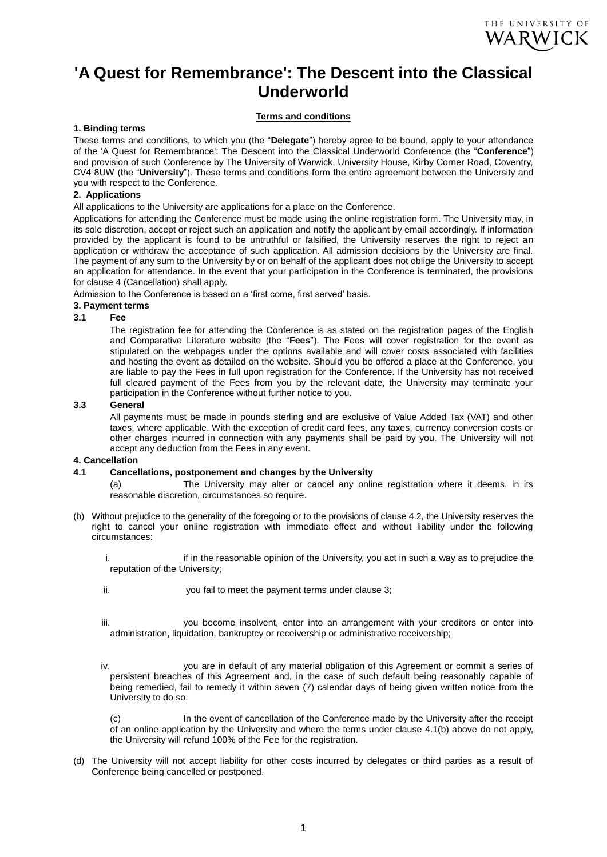# **'A Quest for Remembrance': The Descent into the Classical Underworld**

## **Terms and conditions**

## **1. Binding terms**

These terms and conditions, to which you (the "**Delegate**") hereby agree to be bound, apply to your attendance of the 'A Quest for Remembrance': The Descent into the Classical Underworld Conference (the "**Conference**") and provision of such Conference by The University of Warwick, University House, Kirby Corner Road, Coventry, CV4 8UW (the "**University**"). These terms and conditions form the entire agreement between the University and you with respect to the Conference.

## **2. Applications**

All applications to the University are applications for a place on the Conference.

Applications for attending the Conference must be made using the online registration form. The University may, in its sole discretion, accept or reject such an application and notify the applicant by email accordingly. If information provided by the applicant is found to be untruthful or falsified, the University reserves the right to reject an application or withdraw the acceptance of such application. All admission decisions by the University are final. The payment of any sum to the University by or on behalf of the applicant does not oblige the University to accept an application for attendance. In the event that your participation in the Conference is terminated, the provisions for clause 4 (Cancellation) shall apply.

Admission to the Conference is based on a 'first come, first served' basis.

## **3. Payment terms**

#### **3.1 Fee**

The registration fee for attending the Conference is as stated on the registration pages of the English and Comparative Literature website (the "**Fees**"). The Fees will cover registration for the event as stipulated on the webpages under the options available and will cover costs associated with facilities and hosting the event as detailed on the website. Should you be offered a place at the Conference, you are liable to pay the Fees in full upon registration for the Conference. If the University has not received full cleared payment of the Fees from you by the relevant date, the University may terminate your participation in the Conference without further notice to you.

#### **3.3 General**

All payments must be made in pounds sterling and are exclusive of Value Added Tax (VAT) and other taxes, where applicable. With the exception of credit card fees, any taxes, currency conversion costs or other charges incurred in connection with any payments shall be paid by you. The University will not accept any deduction from the Fees in any event.

#### **4. Cancellation**

#### **4.1 Cancellations, postponement and changes by the University**

(a) The University may alter or cancel any online registration where it deems, in its reasonable discretion, circumstances so require.

- (b) Without prejudice to the generality of the foregoing or to the provisions of clause 4.2, the University reserves the right to cancel your online registration with immediate effect and without liability under the following circumstances:
	- i. in it in the reasonable opinion of the University, you act in such a way as to prejudice the reputation of the University;
	- ii. you fail to meet the payment terms under clause 3;
	- iii. you become insolvent, enter into an arrangement with your creditors or enter into administration, liquidation, bankruptcy or receivership or administrative receivership;
	- iv. you are in default of any material obligation of this Agreement or commit a series of persistent breaches of this Agreement and, in the case of such default being reasonably capable of being remedied, fail to remedy it within seven (7) calendar days of being given written notice from the University to do so.

(c) In the event of cancellation of the Conference made by the University after the receipt of an online application by the University and where the terms under clause 4.1(b) above do not apply, the University will refund 100% of the Fee for the registration.

(d) The University will not accept liability for other costs incurred by delegates or third parties as a result of Conference being cancelled or postponed.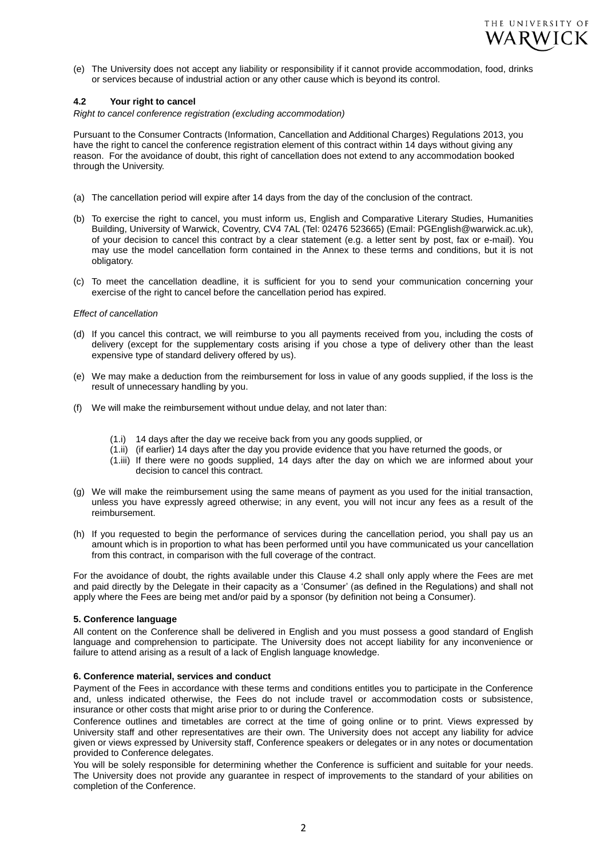

(e) The University does not accept any liability or responsibility if it cannot provide accommodation, food, drinks or services because of industrial action or any other cause which is beyond its control.

#### **4.2 Your right to cancel**

*Right to cancel conference registration (excluding accommodation)*

Pursuant to the Consumer Contracts (Information, Cancellation and Additional Charges) Regulations 2013, you have the right to cancel the conference registration element of this contract within 14 days without giving any reason. For the avoidance of doubt, this right of cancellation does not extend to any accommodation booked through the University.

- (a) The cancellation period will expire after 14 days from the day of the conclusion of the contract.
- (b) To exercise the right to cancel, you must inform us, English and Comparative Literary Studies, Humanities Building, University of Warwick, Coventry, CV4 7AL (Tel: 02476 523665) (Email: PGEnglish@warwick.ac.uk), of your decision to cancel this contract by a clear statement (e.g. a letter sent by post, fax or e-mail). You may use the model cancellation form contained in the Annex to these terms and conditions, but it is not obligatory.
- (c) To meet the cancellation deadline, it is sufficient for you to send your communication concerning your exercise of the right to cancel before the cancellation period has expired.

#### *Effect of cancellation*

- (d) If you cancel this contract, we will reimburse to you all payments received from you, including the costs of delivery (except for the supplementary costs arising if you chose a type of delivery other than the least expensive type of standard delivery offered by us).
- (e) We may make a deduction from the reimbursement for loss in value of any goods supplied, if the loss is the result of unnecessary handling by you.
- (f) We will make the reimbursement without undue delay, and not later than:
	- (1.i) 14 days after the day we receive back from you any goods supplied, or
	- (1.ii) (if earlier) 14 days after the day you provide evidence that you have returned the goods, or
	- (1.iii) If there were no goods supplied, 14 days after the day on which we are informed about your decision to cancel this contract.
- (g) We will make the reimbursement using the same means of payment as you used for the initial transaction, unless you have expressly agreed otherwise; in any event, you will not incur any fees as a result of the reimbursement.
- (h) If you requested to begin the performance of services during the cancellation period, you shall pay us an amount which is in proportion to what has been performed until you have communicated us your cancellation from this contract, in comparison with the full coverage of the contract.

For the avoidance of doubt, the rights available under this Clause 4.2 shall only apply where the Fees are met and paid directly by the Delegate in their capacity as a 'Consumer' (as defined in the Regulations) and shall not apply where the Fees are being met and/or paid by a sponsor (by definition not being a Consumer).

#### **5. Conference language**

All content on the Conference shall be delivered in English and you must possess a good standard of English language and comprehension to participate. The University does not accept liability for any inconvenience or failure to attend arising as a result of a lack of English language knowledge.

#### **6. Conference material, services and conduct**

Payment of the Fees in accordance with these terms and conditions entitles you to participate in the Conference and, unless indicated otherwise, the Fees do not include travel or accommodation costs or subsistence, insurance or other costs that might arise prior to or during the Conference.

Conference outlines and timetables are correct at the time of going online or to print. Views expressed by University staff and other representatives are their own. The University does not accept any liability for advice given or views expressed by University staff, Conference speakers or delegates or in any notes or documentation provided to Conference delegates.

You will be solely responsible for determining whether the Conference is sufficient and suitable for your needs. The University does not provide any guarantee in respect of improvements to the standard of your abilities on completion of the Conference.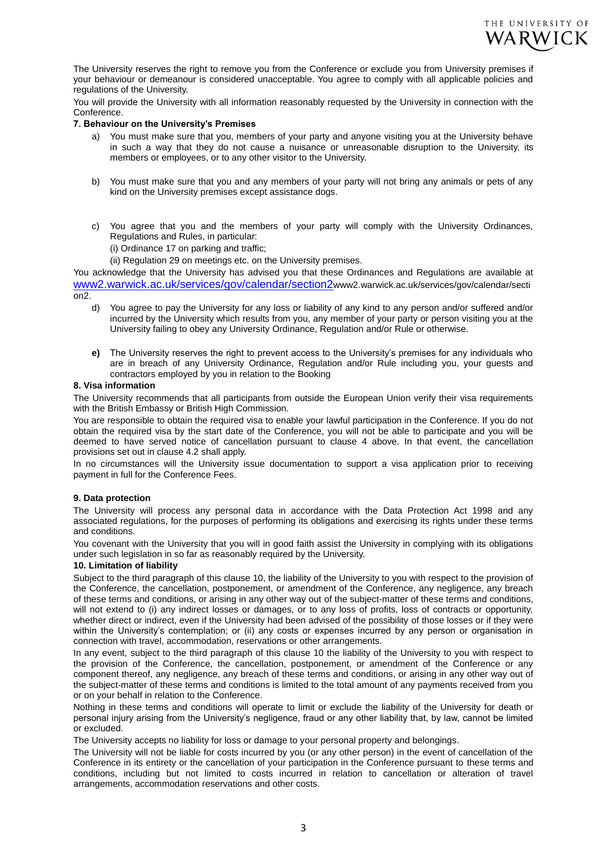

The University reserves the right to remove you from the Conference or exclude you from University premises if your behaviour or demeanour is considered unacceptable. You agree to comply with all applicable policies and regulations of the University.

You will provide the University with all information reasonably requested by the University in connection with the Conference.

## **7. Behaviour on the University's Premises**

- a) You must make sure that you, members of your party and anyone visiting you at the University behave in such a way that they do not cause a nuisance or unreasonable disruption to the University, its members or employees, or to any other visitor to the University.
- b) You must make sure that you and any members of your party will not bring any animals or pets of any kind on the University premises except assistance dogs.
- c) You agree that you and the members of your party will comply with the University Ordinances, Regulations and Rules, in particular:
	- (i) Ordinance 17 on parking and traffic;

(ii) Regulation 29 on meetings etc. on the University premises.

You acknowledge that the University has advised you that these Ordinances and Regulations are available at [www2.warwick.ac.uk/services/gov/calendar/section2](http://www2.warwick.ac.uk/services/gov/calendar/section2)www2.warwick.ac.uk/services/gov/calendar/secti on2.

- d) You agree to pay the University for any loss or liability of any kind to any person and/or suffered and/or incurred by the University which results from you, any member of your party or person visiting you at the University failing to obey any University Ordinance, Regulation and/or Rule or otherwise.
- **e)** The University reserves the right to prevent access to the University's premises for any individuals who are in breach of any University Ordinance, Regulation and/or Rule including you, your guests and contractors employed by you in relation to the Booking

#### **8. Visa information**

The University recommends that all participants from outside the European Union verify their visa requirements with the British Embassy or British High Commission.

You are responsible to obtain the required visa to enable your lawful participation in the Conference. If you do not obtain the required visa by the start date of the Conference, you will not be able to participate and you will be deemed to have served notice of cancellation pursuant to clause 4 above. In that event, the cancellation provisions set out in clause 4.2 shall apply.

In no circumstances will the University issue documentation to support a visa application prior to receiving payment in full for the Conference Fees.

#### **9. Data protection**

The University will process any personal data in accordance with the Data Protection Act 1998 and any associated regulations, for the purposes of performing its obligations and exercising its rights under these terms and conditions.

You covenant with the University that you will in good faith assist the University in complying with its obligations under such legislation in so far as reasonably required by the University.

#### **10. Limitation of liability**

Subject to the third paragraph of this clause 10, the liability of the University to you with respect to the provision of the Conference, the cancellation, postponement, or amendment of the Conference, any negligence, any breach of these terms and conditions, or arising in any other way out of the subject-matter of these terms and conditions, will not extend to (i) any indirect losses or damages, or to any loss of profits, loss of contracts or opportunity, whether direct or indirect, even if the University had been advised of the possibility of those losses or if they were within the University's contemplation; or (ii) any costs or expenses incurred by any person or organisation in connection with travel, accommodation, reservations or other arrangements.

In any event, subject to the third paragraph of this clause 10 the liability of the University to you with respect to the provision of the Conference, the cancellation, postponement, or amendment of the Conference or any component thereof, any negligence, any breach of these terms and conditions, or arising in any other way out of the subject-matter of these terms and conditions is limited to the total amount of any payments received from you or on your behalf in relation to the Conference.

Nothing in these terms and conditions will operate to limit or exclude the liability of the University for death or personal injury arising from the University's negligence, fraud or any other liability that, by law, cannot be limited or excluded.

The University accepts no liability for loss or damage to your personal property and belongings.

The University will not be liable for costs incurred by you (or any other person) in the event of cancellation of the Conference in its entirety or the cancellation of your participation in the Conference pursuant to these terms and conditions, including but not limited to costs incurred in relation to cancellation or alteration of travel arrangements, accommodation reservations and other costs.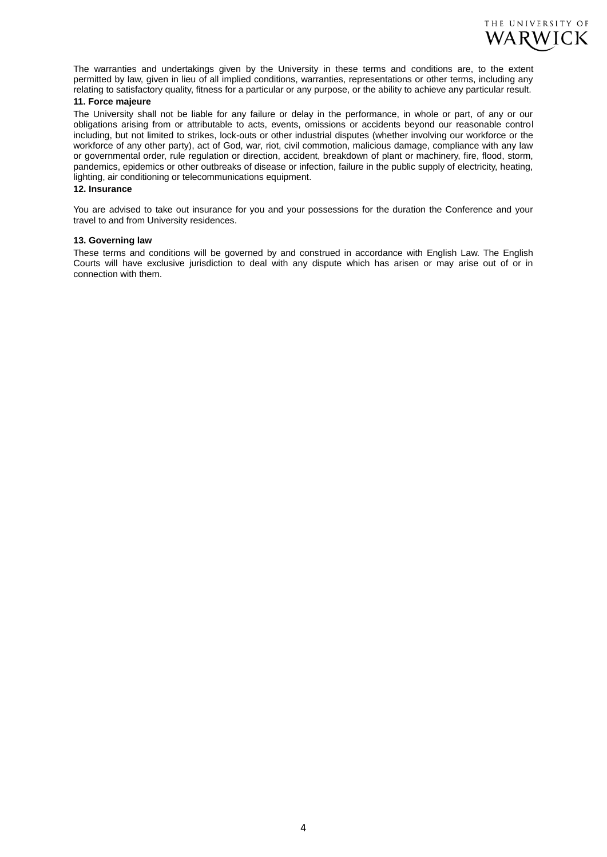

The warranties and undertakings given by the University in these terms and conditions are, to the extent permitted by law, given in lieu of all implied conditions, warranties, representations or other terms, including any relating to satisfactory quality, fitness for a particular or any purpose, or the ability to achieve any particular result.

# **11. Force majeure**

The University shall not be liable for any failure or delay in the performance, in whole or part, of any or our obligations arising from or attributable to acts, events, omissions or accidents beyond our reasonable control including, but not limited to strikes, lock-outs or other industrial disputes (whether involving our workforce or the workforce of any other party), act of God, war, riot, civil commotion, malicious damage, compliance with any law or governmental order, rule regulation or direction, accident, breakdown of plant or machinery, fire, flood, storm, pandemics, epidemics or other outbreaks of disease or infection, failure in the public supply of electricity, heating, lighting, air conditioning or telecommunications equipment.

## **12. Insurance**

You are advised to take out insurance for you and your possessions for the duration the Conference and your travel to and from University residences.

#### **13. Governing law**

These terms and conditions will be governed by and construed in accordance with English Law. The English Courts will have exclusive jurisdiction to deal with any dispute which has arisen or may arise out of or in connection with them.